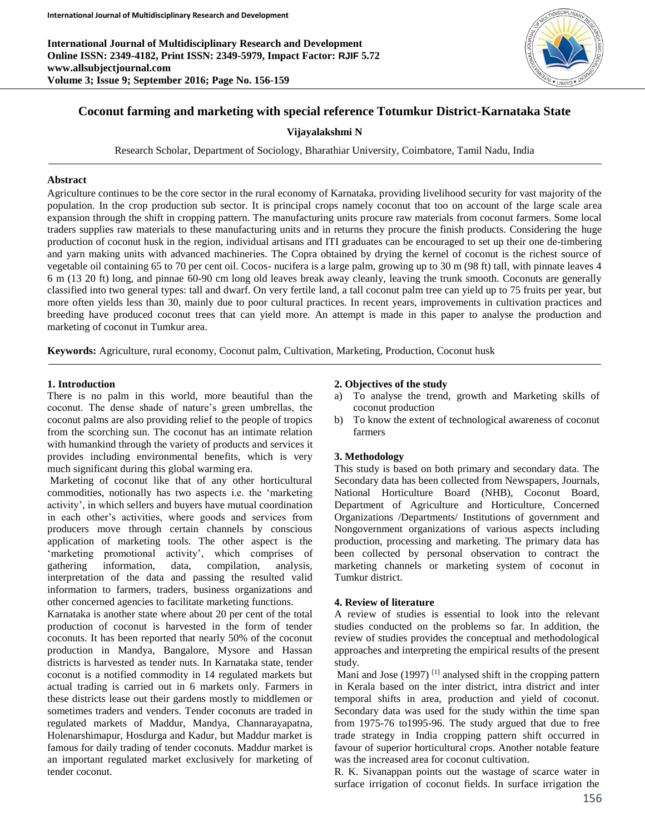**International Journal of Multidisciplinary Research and Development Online ISSN: 2349-4182, Print ISSN: 2349-5979, Impact Factor: RJIF 5.72 www.allsubjectjournal.com Volume 3; Issue 9; September 2016; Page No. 156-159**



# **Coconut farming and marketing with special reference Totumkur District-Karnataka State**

# **Vijayalakshmi N**

Research Scholar, Department of Sociology, Bharathiar University, Coimbatore, Tamil Nadu, India

# **Abstract**

Agriculture continues to be the core sector in the rural economy of Karnataka, providing livelihood security for vast majority of the population. In the crop production sub sector. It is principal crops namely coconut that too on account of the large scale area expansion through the shift in cropping pattern. The manufacturing units procure raw materials from coconut farmers. Some local traders supplies raw materials to these manufacturing units and in returns they procure the finish products. Considering the huge production of coconut husk in the region, individual artisans and ITI graduates can be encouraged to set up their one de-timbering and yarn making units with advanced machineries. The Copra obtained by drying the kernel of coconut is the richest source of vegetable oil containing 65 to 70 per cent oil. Cocos- nucifera is a large palm, growing up to 30 m (98 ft) tall, with pinnate leaves 4 6 m (13 20 ft) long, and pinnae 60-90 cm long old leaves break away cleanly, leaving the trunk smooth. Coconuts are generally classified into two general types: tall and dwarf. On very fertile land, a tall coconut palm tree can yield up to 75 fruits per year, but more often yields less than 30, mainly due to poor cultural practices. In recent years, improvements in cultivation practices and breeding have produced coconut trees that can yield more. An attempt is made in this paper to analyse the production and marketing of coconut in Tumkur area.

**Keywords:** Agriculture, rural economy, Coconut palm, Cultivation, Marketing, Production, Coconut husk

#### **1. Introduction**

There is no palm in this world, more beautiful than the coconut. The dense shade of nature's green umbrellas, the coconut palms are also providing relief to the people of tropics from the scorching sun. The coconut has an intimate relation with humankind through the variety of products and services it provides including environmental benefits, which is very much significant during this global warming era.

Marketing of coconut like that of any other horticultural commodities, notionally has two aspects i.e. the 'marketing activity', in which sellers and buyers have mutual coordination in each other's activities, where goods and services from producers move through certain channels by conscious application of marketing tools. The other aspect is the 'marketing promotional activity', which comprises of gathering information, data, compilation, analysis, interpretation of the data and passing the resulted valid information to farmers, traders, business organizations and other concerned agencies to facilitate marketing functions.

Karnataka is another state where about 20 per cent of the total production of coconut is harvested in the form of tender coconuts. It has been reported that nearly 50% of the coconut production in Mandya, Bangalore, Mysore and Hassan districts is harvested as tender nuts. In Karnataka state, tender coconut is a notified commodity in 14 regulated markets but actual trading is carried out in 6 markets only. Farmers in these districts lease out their gardens mostly to middlemen or sometimes traders and venders. Tender coconuts are traded in regulated markets of Maddur, Mandya, Channarayapatna, Holenarshimapur, Hosdurga and Kadur, but Maddur market is famous for daily trading of tender coconuts. Maddur market is an important regulated market exclusively for marketing of tender coconut.

#### **2. Objectives of the study**

- a) To analyse the trend, growth and Marketing skills of coconut production
- b) To know the extent of technological awareness of coconut farmers

# **3. Methodology**

This study is based on both primary and secondary data. The Secondary data has been collected from Newspapers, Journals, National Horticulture Board (NHB), Coconut Board, Department of Agriculture and Horticulture, Concerned Organizations /Departments/ Institutions of government and Nongovernment organizations of various aspects including production, processing and marketing. The primary data has been collected by personal observation to contract the marketing channels or marketing system of coconut in Tumkur district.

#### **4. Review of literature**

A review of studies is essential to look into the relevant studies conducted on the problems so far. In addition, the review of studies provides the conceptual and methodological approaches and interpreting the empirical results of the present study.

Mani and Jose  $(1997)$ <sup>[1]</sup> analysed shift in the cropping pattern in Kerala based on the inter district, intra district and inter temporal shifts in area, production and yield of coconut. Secondary data was used for the study within the time span from 1975-76 to1995-96. The study argued that due to free trade strategy in India cropping pattern shift occurred in favour of superior horticultural crops. Another notable feature was the increased area for coconut cultivation.

R. K. Sivanappan points out the wastage of scarce water in surface irrigation of coconut fields. In surface irrigation the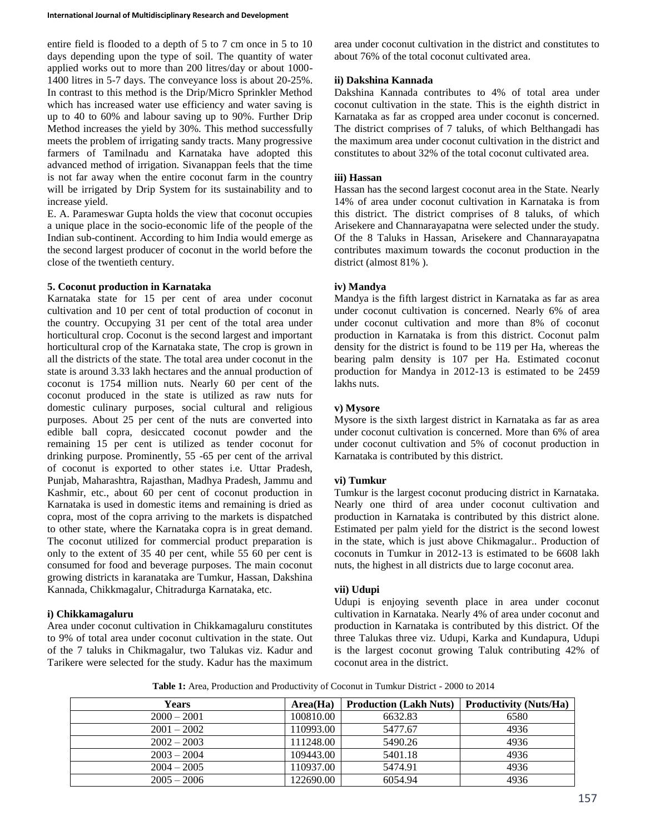entire field is flooded to a depth of 5 to 7 cm once in 5 to 10 days depending upon the type of soil. The quantity of water applied works out to more than 200 litres/day or about 1000- 1400 litres in 5-7 days. The conveyance loss is about 20-25%. In contrast to this method is the Drip/Micro Sprinkler Method which has increased water use efficiency and water saving is up to 40 to 60% and labour saving up to 90%. Further Drip Method increases the yield by 30%. This method successfully meets the problem of irrigating sandy tracts. Many progressive farmers of Tamilnadu and Karnataka have adopted this advanced method of irrigation. Sivanappan feels that the time is not far away when the entire coconut farm in the country will be irrigated by Drip System for its sustainability and to increase yield.

E. A. Parameswar Gupta holds the view that coconut occupies a unique place in the socio-economic life of the people of the Indian sub-continent. According to him India would emerge as the second largest producer of coconut in the world before the close of the twentieth century.

# **5. Coconut production in Karnataka**

Karnataka state for 15 per cent of area under coconut cultivation and 10 per cent of total production of coconut in the country. Occupying 31 per cent of the total area under horticultural crop. Coconut is the second largest and important horticultural crop of the Karnataka state, The crop is grown in all the districts of the state. The total area under coconut in the state is around 3.33 lakh hectares and the annual production of coconut is 1754 million nuts. Nearly 60 per cent of the coconut produced in the state is utilized as raw nuts for domestic culinary purposes, social cultural and religious purposes. About 25 per cent of the nuts are converted into edible ball copra, desiccated coconut powder and the remaining 15 per cent is utilized as tender coconut for drinking purpose. Prominently, 55 -65 per cent of the arrival of coconut is exported to other states i.e. Uttar Pradesh, Punjab, Maharashtra, Rajasthan, Madhya Pradesh, Jammu and Kashmir, etc., about 60 per cent of coconut production in Karnataka is used in domestic items and remaining is dried as copra, most of the copra arriving to the markets is dispatched to other state, where the Karnataka copra is in great demand. The coconut utilized for commercial product preparation is only to the extent of 35 40 per cent, while 55 60 per cent is consumed for food and beverage purposes. The main coconut growing districts in karanataka are Tumkur, Hassan, Dakshina Kannada, Chikkmagalur, Chitradurga Karnataka, etc.

### **i) Chikkamagaluru**

Area under coconut cultivation in Chikkamagaluru constitutes to 9% of total area under coconut cultivation in the state. Out of the 7 taluks in Chikmagalur, two Talukas viz. Kadur and Tarikere were selected for the study. Kadur has the maximum

area under coconut cultivation in the district and constitutes to about 76% of the total coconut cultivated area.

# **ii) Dakshina Kannada**

Dakshina Kannada contributes to 4% of total area under coconut cultivation in the state. This is the eighth district in Karnataka as far as cropped area under coconut is concerned. The district comprises of 7 taluks, of which Belthangadi has the maximum area under coconut cultivation in the district and constitutes to about 32% of the total coconut cultivated area.

## **iii) Hassan**

Hassan has the second largest coconut area in the State. Nearly 14% of area under coconut cultivation in Karnataka is from this district. The district comprises of 8 taluks, of which Arisekere and Channarayapatna were selected under the study. Of the 8 Taluks in Hassan, Arisekere and Channarayapatna contributes maximum towards the coconut production in the district (almost 81% ).

## **iv) Mandya**

Mandya is the fifth largest district in Karnataka as far as area under coconut cultivation is concerned. Nearly 6% of area under coconut cultivation and more than 8% of coconut production in Karnataka is from this district. Coconut palm density for the district is found to be 119 per Ha, whereas the bearing palm density is 107 per Ha. Estimated coconut production for Mandya in 2012-13 is estimated to be 2459 lakhs nuts.

## **v) Mysore**

Mysore is the sixth largest district in Karnataka as far as area under coconut cultivation is concerned. More than 6% of area under coconut cultivation and 5% of coconut production in Karnataka is contributed by this district.

### **vi) Tumkur**

Tumkur is the largest coconut producing district in Karnataka. Nearly one third of area under coconut cultivation and production in Karnataka is contributed by this district alone. Estimated per palm yield for the district is the second lowest in the state, which is just above Chikmagalur.. Production of coconuts in Tumkur in 2012-13 is estimated to be 6608 lakh nuts, the highest in all districts due to large coconut area.

#### **vii) Udupi**

Udupi is enjoying seventh place in area under coconut cultivation in Karnataka. Nearly 4% of area under coconut and production in Karnataka is contributed by this district. Of the three Talukas three viz. Udupi, Karka and Kundapura, Udupi is the largest coconut growing Taluk contributing 42% of coconut area in the district.

**Table 1:** Area, Production and Productivity of Coconut in Tumkur District - 2000 to 2014

| Years         | Area(Ha)  | <b>Production (Lakh Nuts)</b> | <b>Productivity (Nuts/Ha)</b> |
|---------------|-----------|-------------------------------|-------------------------------|
| $2000 - 2001$ | 100810.00 | 6632.83                       | 6580                          |
| $2001 - 2002$ | 110993.00 | 5477.67                       | 4936                          |
| $2002 - 2003$ | 111248.00 | 5490.26                       | 4936                          |
| $2003 - 2004$ | 109443.00 | 5401.18                       | 4936                          |
| $2004 - 2005$ | 110937.00 | 5474.91                       | 4936                          |
| $2005 - 2006$ | 122690.00 | 6054.94                       | 4936                          |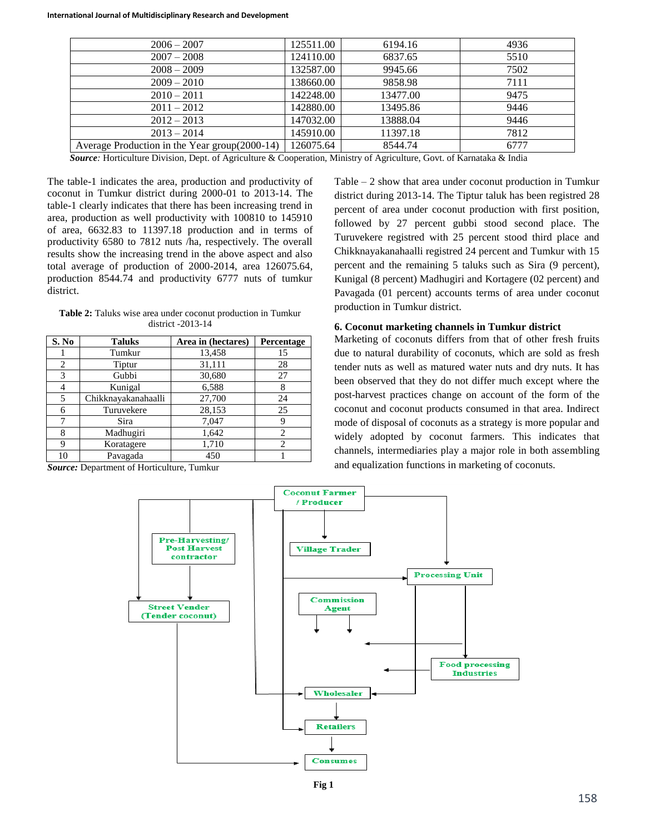| $2006 - 2007$                                 | 125511.00 | 6194.16  | 4936 |
|-----------------------------------------------|-----------|----------|------|
| $2007 - 2008$                                 | 124110.00 | 6837.65  | 5510 |
| $2008 - 2009$                                 | 132587.00 | 9945.66  | 7502 |
| $2009 - 2010$                                 | 138660.00 | 9858.98  | 7111 |
| $2010 - 2011$                                 | 142248.00 | 13477.00 | 9475 |
| $2011 - 2012$                                 | 142880.00 | 13495.86 | 9446 |
| $2012 - 2013$                                 | 147032.00 | 13888.04 | 9446 |
| $2013 - 2014$                                 | 145910.00 | 11397.18 | 7812 |
| Average Production in the Year group(2000-14) | 126075.64 | 8544.74  | 6777 |

*Source:* Horticulture Division, Dept. of Agriculture & Cooperation, Ministry of Agriculture, Govt. of Karnataka & India

The table-1 indicates the area, production and productivity of coconut in Tumkur district during 2000-01 to 2013-14. The table-1 clearly indicates that there has been increasing trend in area, production as well productivity with 100810 to 145910 of area, 6632.83 to 11397.18 production and in terms of productivity 6580 to 7812 nuts /ha, respectively. The overall results show the increasing trend in the above aspect and also total average of production of 2000-2014, area 126075.64, production 8544.74 and productivity 6777 nuts of tumkur district.

**Table 2:** Taluks wise area under coconut production in Tumkur district -2013-14

| S. No | <b>Taluks</b>       | Area in (hectares) | Percentage |
|-------|---------------------|--------------------|------------|
|       | Tumkur              | 13,458             | 15         |
| 2     | Tiptur              | 31,111             | 28         |
| 3     | Gubbi               | 30,680             | 27         |
|       | Kunigal             | 6,588              |            |
| 5     | Chikknayakanahaalli | 27,700             | 24         |
| 6     | Turuvekere          | 28,153             | 25         |
| 7     | Sira                | 7,047              | 9          |
| 8     | Madhugiri           | 1,642              |            |
| Q     | Koratagere          | 1,710              |            |
|       | Pavagada            | 450                |            |

*Source:* Department of Horticulture, Tumkur

Table – 2 show that area under coconut production in Tumkur district during 2013-14. The Tiptur taluk has been registred 28 percent of area under coconut production with first position, followed by 27 percent gubbi stood second place. The Turuvekere registred with 25 percent stood third place and Chikknayakanahaalli registred 24 percent and Tumkur with 15 percent and the remaining 5 taluks such as Sira (9 percent), Kunigal (8 percent) Madhugiri and Kortagere (02 percent) and Pavagada (01 percent) accounts terms of area under coconut production in Tumkur district.

#### **6. Coconut marketing channels in Tumkur district**

Marketing of coconuts differs from that of other fresh fruits due to natural durability of coconuts, which are sold as fresh tender nuts as well as matured water nuts and dry nuts. It has been observed that they do not differ much except where the post-harvest practices change on account of the form of the coconut and coconut products consumed in that area. Indirect mode of disposal of coconuts as a strategy is more popular and widely adopted by coconut farmers. This indicates that channels, intermediaries play a major role in both assembling and equalization functions in marketing of coconuts.